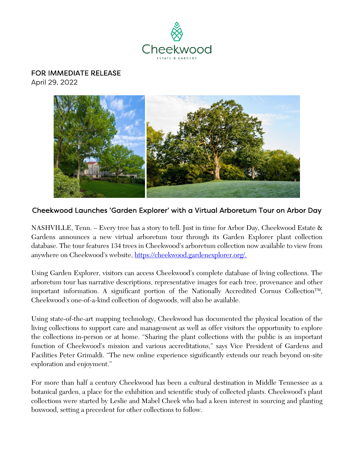

## FOR IMMEDIATE RELEASE

April 29, 2022



## Cheekwood Launches 'Garden Explorer' with a Virtual Arboretum Tour on Arbor Day

NASHVILLE, Tenn. – Every tree has a story to tell. Just in time for Arbor Day, Cheekwood Estate & Gardens announces a new virtual arboretum tour through its Garden Explorer plant collection database. The tour features 134 trees in Cheekwood's arboretum collection now available to view from anywhere on Cheekwood's website, [https://cheekwood.gardenexplorer.org/.](https://cheekwood.gardenexplorer.org/)

Using Garden Explorer, visitors can access Cheekwood's complete database of living collections. The arboretum tour has narrative descriptions, representative images for each tree, provenance and other important information. A significant portion of the Nationally Accredited Cornus Collection<sup>TM</sup>, Cheekwood's one-of-a-kind collection of dogwoods, will also be available.

Using state-of-the-art mapping technology, Cheekwood has documented the physical location of the living collections to support care and management as well as offer visitors the opportunity to explore the collections in-person or at home. "Sharing the plant collections with the public is an important function of Cheekwood's mission and various accreditations," says Vice President of Gardens and Facilities Peter Grimaldi. "The new online experience significantly extends our reach beyond on-site exploration and enjoyment."

For more than half a century Cheekwood has been a cultural destination in Middle Tennessee as a botanical garden, a place for the exhibition and scientific study of collected plants. Cheekwood's plant collections were started by Leslie and Mabel Cheek who had a keen interest in sourcing and planting boxwood, setting a precedent for other collections to follow.